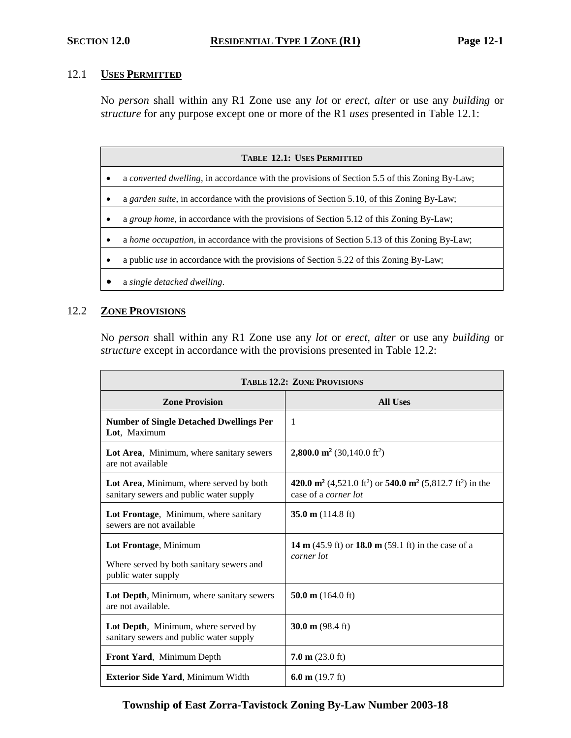## 12.1 **USES PERMITTED**

No *person* shall within any R1 Zone use any *lot* or *erect, alter* or use any *building* or *structure* for any purpose except one or more of the R1 *uses* presented in Table 12.1:

| <b>TABLE 12.1: USES PERMITTED</b> |                                                                                               |  |
|-----------------------------------|-----------------------------------------------------------------------------------------------|--|
| ٠                                 | a converted dwelling, in accordance with the provisions of Section 5.5 of this Zoning By-Law; |  |
|                                   | a garden suite, in accordance with the provisions of Section 5.10, of this Zoning By-Law;     |  |
|                                   | a group home, in accordance with the provisions of Section 5.12 of this Zoning By-Law;        |  |
| ٠                                 | a home occupation, in accordance with the provisions of Section 5.13 of this Zoning By-Law;   |  |
|                                   | a public <i>use</i> in accordance with the provisions of Section 5.22 of this Zoning By-Law;  |  |
|                                   | a single detached dwelling.                                                                   |  |

## 12.2 **ZONE PROVISIONS**

No *person* shall within any R1 Zone use any *lot* or *erect, alter* or use any *building* or *structure* except in accordance with the provisions presented in Table 12.2:

| <b>TABLE 12.2: ZONE PROVISIONS</b>                                                       |                                                                                                                                          |  |
|------------------------------------------------------------------------------------------|------------------------------------------------------------------------------------------------------------------------------------------|--|
| <b>Zone Provision</b>                                                                    | <b>All Uses</b>                                                                                                                          |  |
| <b>Number of Single Detached Dwellings Per</b><br>Lot, Maximum                           | $\mathbf{1}$                                                                                                                             |  |
| Lot Area, Minimum, where sanitary sewers<br>are not available                            | <b>2,800.0 m<sup>2</sup></b> (30,140.0 ft <sup>2</sup> )                                                                                 |  |
| Lot Area, Minimum, where served by both<br>sanitary sewers and public water supply       | 420.0 m <sup>2</sup> (4,521.0 ft <sup>2</sup> ) or 540.0 m <sup>2</sup> (5,812.7 ft <sup>2</sup> ) in the<br>case of a <i>corner lot</i> |  |
| Lot Frontage, Minimum, where sanitary<br>sewers are not available                        | 35.0 m $(114.8 \text{ ft})$                                                                                                              |  |
| Lot Frontage, Minimum<br>Where served by both sanitary sewers and<br>public water supply | <b>14 m</b> (45.9 ft) or <b>18.0 m</b> (59.1 ft) in the case of a<br>corner lot                                                          |  |
| Lot Depth, Minimum, where sanitary sewers<br>are not available.                          | 50.0 m $(164.0 \text{ ft})$                                                                                                              |  |
| Lot Depth, Minimum, where served by<br>sanitary sewers and public water supply           | 30.0 m $(98.4 \text{ ft})$                                                                                                               |  |
| Front Yard, Minimum Depth                                                                | $7.0 \text{ m}$ (23.0 ft)                                                                                                                |  |
| <b>Exterior Side Yard, Minimum Width</b>                                                 | 6.0 m $(19.7 \text{ ft})$                                                                                                                |  |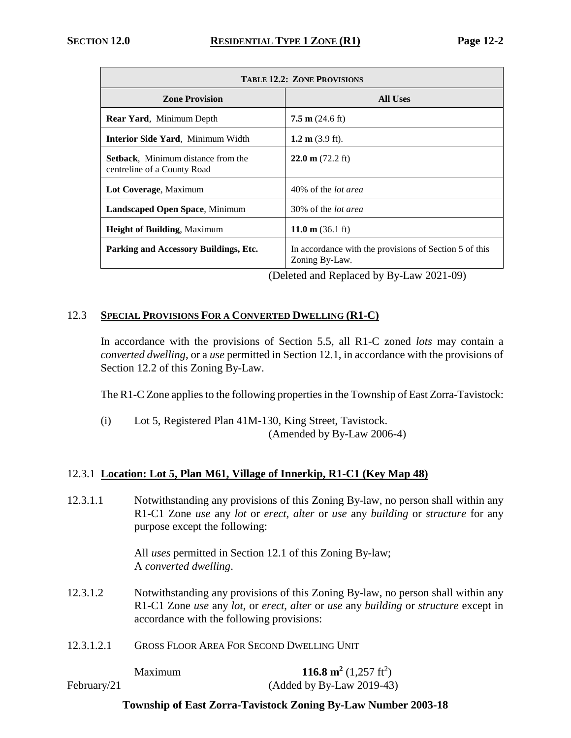| <b>TABLE 12.2: ZONE PROVISIONS</b>                                       |                                                                          |  |
|--------------------------------------------------------------------------|--------------------------------------------------------------------------|--|
| <b>Zone Provision</b>                                                    | All Uses                                                                 |  |
| <b>Rear Yard, Minimum Depth</b>                                          | $7.5 \text{ m}$ (24.6 ft)                                                |  |
| <b>Interior Side Yard, Minimum Width</b>                                 | 1.2 m $(3.9 \text{ ft})$ .                                               |  |
| <b>Setback.</b> Minimum distance from the<br>centreline of a County Road | 22.0 m $(72.2 \text{ ft})$                                               |  |
| Lot Coverage, Maximum                                                    | 40% of the <i>lot area</i>                                               |  |
| <b>Landscaped Open Space, Minimum</b>                                    | 30% of the <i>lot area</i>                                               |  |
| <b>Height of Building, Maximum</b>                                       | 11.0 m $(36.1 \text{ ft})$                                               |  |
| Parking and Accessory Buildings, Etc.                                    | In accordance with the provisions of Section 5 of this<br>Zoning By-Law. |  |

(Deleted and Replaced by By-Law 2021-09)

## 12.3 **SPECIAL PROVISIONS FOR A CONVERTED DWELLING (R1-C)**

In accordance with the provisions of Section 5.5, all R1-C zoned *lots* may contain a *converted dwelling*, or a *use* permitted in Section 12.1, in accordance with the provisions of Section 12.2 of this Zoning By-Law.

The R1-C Zone applies to the following properties in the Township of East Zorra-Tavistock:

(i) Lot 5, Registered Plan 41M-130, King Street, Tavistock. (Amended by By-Law 2006-4)

# 12.3.1 **Location: Lot 5, Plan M61, Village of Innerkip, R1-C1 (Key Map 48)**

12.3.1.1 Notwithstanding any provisions of this Zoning By-law, no person shall within any R1-C1 Zone *use* any *lot* or *erect*, *alter* or *use* any *building* or *structure* for any purpose except the following:

> All *uses* permitted in Section 12.1 of this Zoning By-law; A *converted dwelling*.

- 12.3.1.2 Notwithstanding any provisions of this Zoning By-law, no person shall within any R1-C1 Zone *use* any *lot*, or *erect*, *alter* or *use* any *building* or *structure* except in accordance with the following provisions:
- 12.3.1.2.1 GROSS FLOOR AREA FOR SECOND DWELLING UNIT

Maximum **116.8 m<sup>2</sup>**  $(1,257 \text{ ft}^2)$ February/21 (Added by By-Law 2019-43)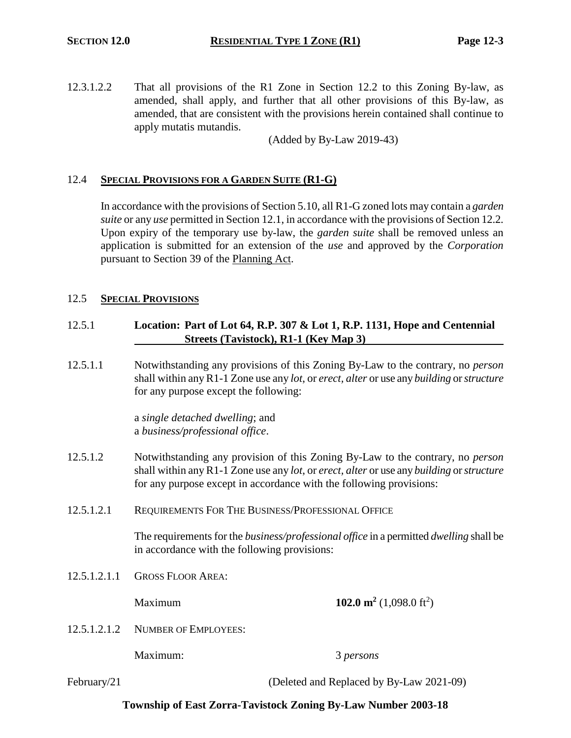12.3.1.2.2 That all provisions of the R1 Zone in Section 12.2 to this Zoning By-law, as amended, shall apply, and further that all other provisions of this By-law, as amended, that are consistent with the provisions herein contained shall continue to apply mutatis mutandis.

(Added by By-Law 2019-43)

## 12.4 **SPECIAL PROVISIONS FOR A GARDEN SUITE (R1-G)**

In accordance with the provisions of Section 5.10, all R1-G zoned lots may contain a *garden suite* or any *use* permitted in Section 12.1, in accordance with the provisions of Section 12.2. Upon expiry of the temporary use by-law, the *garden suite* shall be removed unless an application is submitted for an extension of the *use* and approved by the *Corporation* pursuant to Section 39 of the Planning Act.

#### 12.5 **SPECIAL PROVISIONS**

## 12.5.1 **Location: Part of Lot 64, R.P. 307 & Lot 1, R.P. 1131, Hope and Centennial Streets (Tavistock), R1-1 (Key Map 3)**

12.5.1.1 Notwithstanding any provisions of this Zoning By-Law to the contrary, no *person* shall within any R1-1 Zone use any *lot*, or *erect, alter* or use any *building* or *structure* for any purpose except the following:

> a *single detached dwelling*; and a *business/professional office*.

- 12.5.1.2 Notwithstanding any provision of this Zoning By-Law to the contrary, no *person* shall within any R1-1 Zone use any *lot*, or *erect, alter* or use any *building* or *structure* for any purpose except in accordance with the following provisions:
- 12.5.1.2.1 REQUIREMENTS FOR THE BUSINESS/PROFESSIONAL OFFICE

The requirements for the *business/professional office* in a permitted *dwelling* shall be in accordance with the following provisions:

12.5.1.2.1.1 GROSS FLOOR AREA:

**Maximum 102.0 m<sup>2</sup>** (1,098.0 ft<sup>2</sup>)

12.5.1.2.1.2 NUMBER OF EMPLOYEES:

Maximum: 3 *persons*

February/21 (Deleted and Replaced by By-Law 2021-09)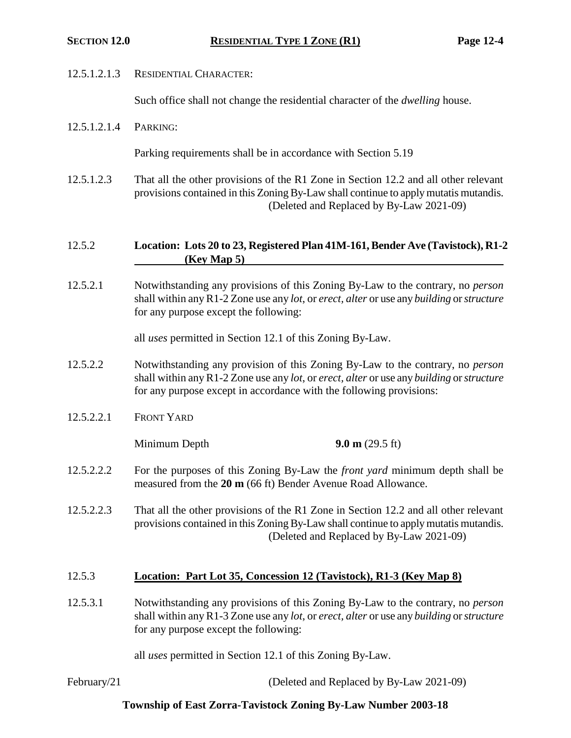#### 12.5.1.2.1.3 RESIDENTIAL CHARACTER:

Such office shall not change the residential character of the *dwelling* house.

12.5.1.2.1.4 PARKING:

Parking requirements shall be in accordance with Section 5.19

12.5.1.2.3 That all the other provisions of the R1 Zone in Section 12.2 and all other relevant provisions contained in this Zoning By-Law shall continue to apply mutatis mutandis. (Deleted and Replaced by By-Law 2021-09)

## 12.5.2 **Location: Lots 20 to 23, Registered Plan 41M-161, Bender Ave (Tavistock), R1-2 (Key Map 5)**

12.5.2.1 Notwithstanding any provisions of this Zoning By-Law to the contrary, no *person* shall within any R1-2 Zone use any *lot*, or *erect, alter* or use any *building* or *structure* for any purpose except the following:

all *uses* permitted in Section 12.1 of this Zoning By-Law.

- 12.5.2.2 Notwithstanding any provision of this Zoning By-Law to the contrary, no *person* shall within any R1-2 Zone use any *lot*, or *erect, alter* or use any *building* or *structure* for any purpose except in accordance with the following provisions:
- 12.5.2.2.1 FRONT YARD

Minimum Depth **9.0 m** (29.5 ft)

- 12.5.2.2.2 For the purposes of this Zoning By-Law the *front yard* minimum depth shall be measured from the **20 m** (66 ft) Bender Avenue Road Allowance.
- 12.5.2.2.3 That all the other provisions of the R1 Zone in Section 12.2 and all other relevant provisions contained in this Zoning By-Law shall continue to apply mutatis mutandis. (Deleted and Replaced by By-Law 2021-09)

#### 12.5.3 **Location: Part Lot 35, Concession 12 (Tavistock), R1-3 (Key Map 8)**

12.5.3.1 Notwithstanding any provisions of this Zoning By-Law to the contrary, no *person* shall within any R1-3 Zone use any *lot*, or *erect, alter* or use any *building* or *structure* for any purpose except the following:

all *uses* permitted in Section 12.1 of this Zoning By-Law.

February/21 (Deleted and Replaced by By-Law 2021-09)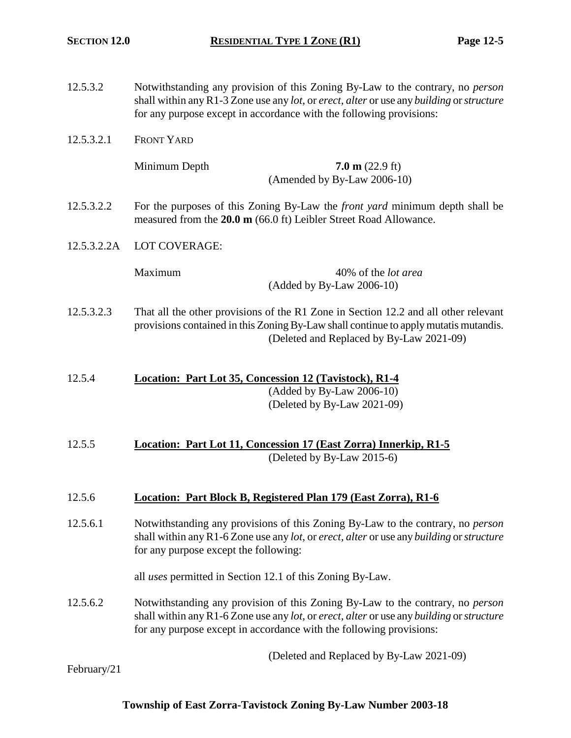| 12.5.3.2    | Notwithstanding any provision of this Zoning By-Law to the contrary, no <i>person</i><br>shall within any R1-3 Zone use any lot, or erect, alter or use any building or structure<br>for any purpose except in accordance with the following provisions: |  |
|-------------|----------------------------------------------------------------------------------------------------------------------------------------------------------------------------------------------------------------------------------------------------------|--|
| 12.5.3.2.1  | <b>FRONT YARD</b>                                                                                                                                                                                                                                        |  |
|             | Minimum Depth<br>$7.0 \text{ m}$ (22.9 ft)<br>(Amended by By-Law 2006-10)                                                                                                                                                                                |  |
| 12.5.3.2.2  | For the purposes of this Zoning By-Law the <i>front yard</i> minimum depth shall be<br>measured from the 20.0 m (66.0 ft) Leibler Street Road Allowance.                                                                                                 |  |
| 12.5.3.2.2A | LOT COVERAGE:                                                                                                                                                                                                                                            |  |
|             | Maximum<br>40% of the <i>lot area</i><br>(Added by By-Law 2006-10)                                                                                                                                                                                       |  |
| 12.5.3.2.3  | That all the other provisions of the R1 Zone in Section 12.2 and all other relevant<br>provisions contained in this Zoning By-Law shall continue to apply mutatis mutandis.<br>(Deleted and Replaced by By-Law 2021-09)                                  |  |
| 12.5.4      | Location: Part Lot 35, Concession 12 (Tavistock), R1-4<br>$(Added by By-Law 2006-10)$<br>(Deleted by By-Law 2021-09)                                                                                                                                     |  |
| 12.5.5      | Location: Part Lot 11, Concession 17 (East Zorra) Innerkip, R1-5<br>(Deleted by By-Law 2015-6)                                                                                                                                                           |  |
| 12.5.6      | Location: Part Block B, Registered Plan 179 (East Zorra), R1-6                                                                                                                                                                                           |  |
| 12.5.6.1    | Notwithstanding any provisions of this Zoning By-Law to the contrary, no <i>person</i><br>shall within any R1-6 Zone use any lot, or erect, alter or use any building or structure<br>for any purpose except the following:                              |  |
|             | all <i>uses</i> permitted in Section 12.1 of this Zoning By-Law.                                                                                                                                                                                         |  |
| 12.5.6.2    | Notwithstanding any provision of this Zoning By-Law to the contrary, no <i>person</i><br>shall within any R1-6 Zone use any lot, or erect, alter or use any building or structure<br>for any purpose except in accordance with the following provisions: |  |
|             | (Deleted and Replaced by By-Law 2021-09)                                                                                                                                                                                                                 |  |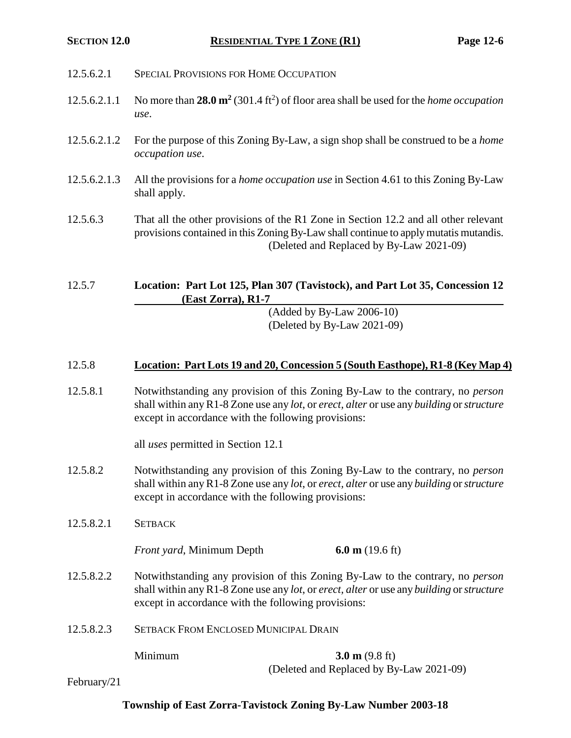- 12.5.6.2.1 SPECIAL PROVISIONS FOR HOME OCCUPATION
- 12.5.6.2.1.1 No more than **28.0 m<sup>2</sup>** (301.4 ft<sup>2</sup> ) of floor area shall be used for the *home occupation use*.
- 12.5.6.2.1.2 For the purpose of this Zoning By-Law, a sign shop shall be construed to be a *home occupation use*.
- 12.5.6.2.1.3 All the provisions for a *home occupation use* in Section 4.61 to this Zoning By-Law shall apply.
- 12.5.6.3 That all the other provisions of the R1 Zone in Section 12.2 and all other relevant provisions contained in this Zoning By-Law shall continue to apply mutatis mutandis. (Deleted and Replaced by By-Law 2021-09)

12.5.7 **Location: Part Lot 125, Plan 307 (Tavistock), and Part Lot 35, Concession 12 (East Zorra), R1-7**

(Added by By-Law 2006-10) (Deleted by By-Law 2021-09)

## 12.5.8 **Location: Part Lots 19 and 20, Concession 5 (South Easthope), R1-8 (Key Map 4)**

12.5.8.1 Notwithstanding any provision of this Zoning By-Law to the contrary, no *person* shall within any R1-8 Zone use any *lot*, or *erect, alter* or use any *building* or *structure* except in accordance with the following provisions:

all *uses* permitted in Section 12.1

- 12.5.8.2 Notwithstanding any provision of this Zoning By-Law to the contrary, no *person* shall within any R1-8 Zone use any *lot*, or *erect, alter* or use any *building* or *structure* except in accordance with the following provisions:
- 12.5.8.2.1 SETBACK

*Front yard*, Minimum Depth **6.0 m** (19.6 ft)

- 12.5.8.2.2 Notwithstanding any provision of this Zoning By-Law to the contrary, no *person* shall within any R1-8 Zone use any *lot*, or *erect, alter* or use any *building* or *structure* except in accordance with the following provisions:
- 12.5.8.2.3 SETBACK FROM ENCLOSED MUNICIPAL DRAIN

**Minimum 3.0 m** (9.8 ft) (Deleted and Replaced by By-Law 2021-09)

February/21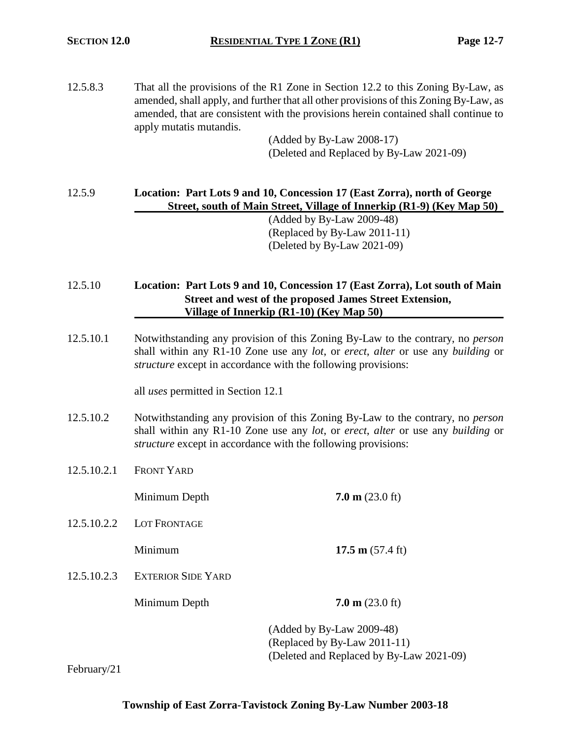12.5.8.3 That all the provisions of the R1 Zone in Section 12.2 to this Zoning By-Law, as amended, shall apply, and further that all other provisions of this Zoning By-Law, as amended, that are consistent with the provisions herein contained shall continue to apply mutatis mutandis.

(Added by By-Law 2008-17) (Deleted and Replaced by By-Law 2021-09)

12.5.9 **Location: Part Lots 9 and 10, Concession 17 (East Zorra), north of George Street, south of Main Street, Village of Innerkip (R1-9) (Key Map 50)**

(Added by By-Law 2009-48) (Replaced by By-Law 2011-11) (Deleted by By-Law 2021-09)

## 12.5.10 **Location: Part Lots 9 and 10, Concession 17 (East Zorra), Lot south of Main Street and west of the proposed James Street Extension, Village of Innerkip (R1-10) (Key Map 50)**

12.5.10.1 Notwithstanding any provision of this Zoning By-Law to the contrary, no *person* shall within any R1-10 Zone use any *lot*, or *erect*, *alter* or use any *building* or *structure* except in accordance with the following provisions:

all *uses* permitted in Section 12.1

- 12.5.10.2 Notwithstanding any provision of this Zoning By-Law to the contrary, no *person* shall within any R1-10 Zone use any *lot*, or *erect*, *alter* or use any *building* or *structure* except in accordance with the following provisions:
- 12.5.10.2.1 FRONT YARD

Minimum Depth **7.0 m** (23.0 ft)

12.5.10.2.2 LOT FRONTAGE

**Minimum 17.5 m** (57.4 ft)

12.5.10.2.3 EXTERIOR SIDE YARD

**Minimum Depth 7.0 m** (23.0 ft)

(Added by By-Law 2009-48) (Replaced by By-Law 2011-11) (Deleted and Replaced by By-Law 2021-09)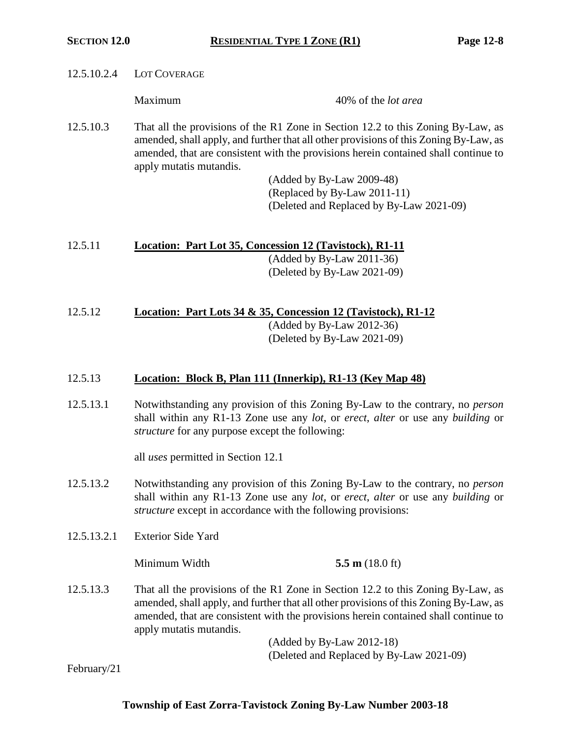| 12.5.10.2.4 | LOT COVERAGE                                           |                                                                                                                                                                                                                                                                  |  |
|-------------|--------------------------------------------------------|------------------------------------------------------------------------------------------------------------------------------------------------------------------------------------------------------------------------------------------------------------------|--|
|             | Maximum                                                | 40% of the <i>lot area</i>                                                                                                                                                                                                                                       |  |
| 12.5.10.3   | apply mutatis mutandis.                                | That all the provisions of the R1 Zone in Section 12.2 to this Zoning By-Law, as<br>amended, shall apply, and further that all other provisions of this Zoning By-Law, as<br>amended, that are consistent with the provisions herein contained shall continue to |  |
|             |                                                        | (Added by By-Law 2009-48)                                                                                                                                                                                                                                        |  |
|             |                                                        | (Replaced by By-Law 2011-11)                                                                                                                                                                                                                                     |  |
|             |                                                        | (Deleted and Replaced by By-Law 2021-09)                                                                                                                                                                                                                         |  |
| 12.5.11     |                                                        | Location: Part Lot 35, Concession 12 (Tavistock), R1-11                                                                                                                                                                                                          |  |
|             |                                                        | $(Added by By-Law 2011-36)$                                                                                                                                                                                                                                      |  |
|             |                                                        | (Deleted by By-Law 2021-09)                                                                                                                                                                                                                                      |  |
| 12.5.12     |                                                        | Location: Part Lots 34 & 35, Concession 12 (Tavistock), R1-12                                                                                                                                                                                                    |  |
|             |                                                        | $(Added by By-Law 2012-36)$                                                                                                                                                                                                                                      |  |
|             |                                                        | (Deleted by By-Law 2021-09)                                                                                                                                                                                                                                      |  |
| 12.5.13     |                                                        | Location: Block B, Plan 111 (Innerkip), R1-13 (Key Map 48)                                                                                                                                                                                                       |  |
| 12.5.13.1   | <i>structure</i> for any purpose except the following: | Notwithstanding any provision of this Zoning By-Law to the contrary, no person<br>shall within any R1-13 Zone use any lot, or erect, alter or use any building or                                                                                                |  |
|             | all uses permitted in Section 12.1                     |                                                                                                                                                                                                                                                                  |  |
| 12.5.13.2   |                                                        | Notwithstanding any provision of this Zoning By-Law to the contrary, no <i>person</i>                                                                                                                                                                            |  |

- shall within any R1-13 Zone use any *lot*, or *erect*, *alter* or use any *building* or *structure* except in accordance with the following provisions:
- 12.5.13.2.1 Exterior Side Yard

Minimum Width **5.5 m** (18.0 ft)

12.5.13.3 That all the provisions of the R1 Zone in Section 12.2 to this Zoning By-Law, as amended, shall apply, and further that all other provisions of this Zoning By-Law, as amended, that are consistent with the provisions herein contained shall continue to apply mutatis mutandis.

> (Added by By-Law 2012-18) (Deleted and Replaced by By-Law 2021-09)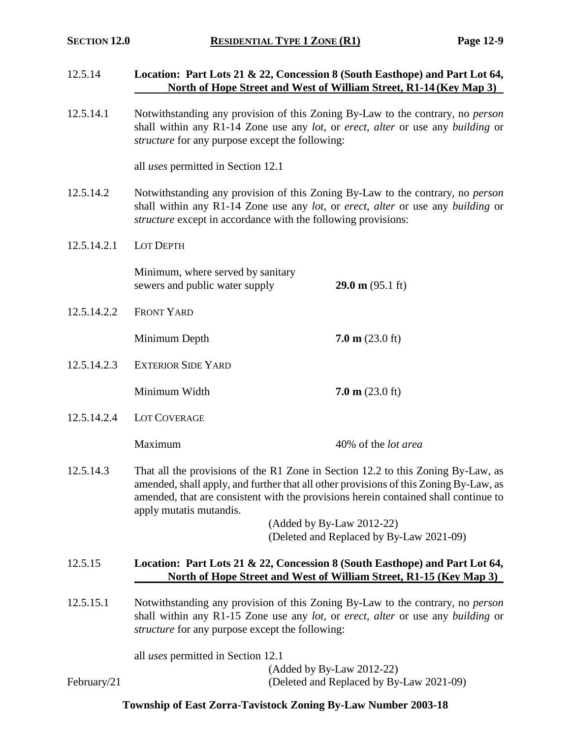12.5.14 **Location: Part Lots 21 & 22, Concession 8 (South Easthope) and Part Lot 64,**

|             |                                                                                                                                                                                                                                                                                             | North of Hope Street and West of William Street, R1-14 (Key Map 3)                                                                                |  |
|-------------|---------------------------------------------------------------------------------------------------------------------------------------------------------------------------------------------------------------------------------------------------------------------------------------------|---------------------------------------------------------------------------------------------------------------------------------------------------|--|
| 12.5.14.1   | Notwithstanding any provision of this Zoning By-Law to the contrary, no <i>person</i><br>shall within any R1-14 Zone use any lot, or erect, alter or use any building or<br><i>structure</i> for any purpose except the following:                                                          |                                                                                                                                                   |  |
|             | all <i>uses</i> permitted in Section 12.1                                                                                                                                                                                                                                                   |                                                                                                                                                   |  |
| 12.5.14.2   | Notwithstanding any provision of this Zoning By-Law to the contrary, no <i>person</i><br>shall within any R1-14 Zone use any lot, or erect, alter or use any building or<br><i>structure</i> except in accordance with the following provisions:                                            |                                                                                                                                                   |  |
| 12.5.14.2.1 | LOT DEPTH                                                                                                                                                                                                                                                                                   |                                                                                                                                                   |  |
|             | Minimum, where served by sanitary<br>sewers and public water supply                                                                                                                                                                                                                         | $29.0 \text{ m} (95.1 \text{ ft})$                                                                                                                |  |
| 12.5.14.2.2 | <b>FRONT YARD</b>                                                                                                                                                                                                                                                                           |                                                                                                                                                   |  |
|             | Minimum Depth                                                                                                                                                                                                                                                                               | $7.0 \text{ m}$ (23.0 ft)                                                                                                                         |  |
| 12.5.14.2.3 | <b>EXTERIOR SIDE YARD</b>                                                                                                                                                                                                                                                                   |                                                                                                                                                   |  |
|             | Minimum Width                                                                                                                                                                                                                                                                               | $7.0 \text{ m}$ (23.0 ft)                                                                                                                         |  |
| 12.5.14.2.4 | LOT COVERAGE                                                                                                                                                                                                                                                                                |                                                                                                                                                   |  |
|             | Maximum                                                                                                                                                                                                                                                                                     | 40% of the <i>lot area</i>                                                                                                                        |  |
| 12.5.14.3   | That all the provisions of the R1 Zone in Section 12.2 to this Zoning By-Law, as<br>amended, shall apply, and further that all other provisions of this Zoning By-Law, as<br>amended, that are consistent with the provisions herein contained shall continue to<br>apply mutatis mutandis. |                                                                                                                                                   |  |
|             |                                                                                                                                                                                                                                                                                             | (Added by By-Law 2012-22)<br>(Deleted and Replaced by By-Law 2021-09)                                                                             |  |
| 12.5.15     |                                                                                                                                                                                                                                                                                             | Location: Part Lots 21 & 22, Concession 8 (South Easthope) and Part Lot 64,<br>North of Hope Street and West of William Street, R1-15 (Key Map 3) |  |
| 12.5.15.1   | Notwithstanding any provision of this Zoning By-Law to the contrary, no person<br>shall within any R1-15 Zone use any lot, or erect, alter or use any building or<br><i>structure</i> for any purpose except the following:                                                                 |                                                                                                                                                   |  |
|             | all <i>uses</i> permitted in Section 12.1                                                                                                                                                                                                                                                   |                                                                                                                                                   |  |
| February/21 |                                                                                                                                                                                                                                                                                             | (Added by By-Law 2012-22)<br>(Deleted and Replaced by By-Law 2021-09)                                                                             |  |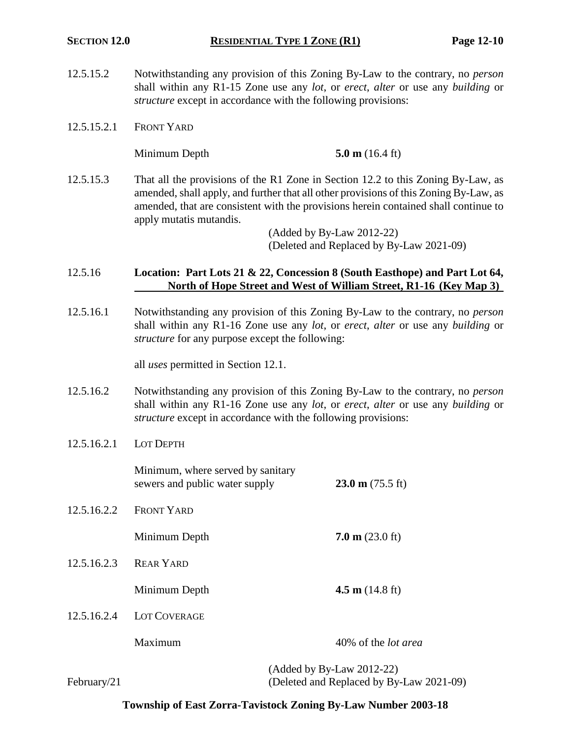- 12.5.15.2 Notwithstanding any provision of this Zoning By-Law to the contrary, no *person* shall within any R1-15 Zone use any *lot*, or *erect*, *alter* or use any *building* or *structure* except in accordance with the following provisions:
- 12.5.15.2.1 FRONT YARD

Minimum Depth **5.0 m** (16.4 ft)

12.5.15.3 That all the provisions of the R1 Zone in Section 12.2 to this Zoning By-Law, as amended, shall apply, and further that all other provisions of this Zoning By-Law, as amended, that are consistent with the provisions herein contained shall continue to apply mutatis mutandis.

> (Added by By-Law 2012-22) (Deleted and Replaced by By-Law 2021-09)

### 12.5.16 **Location: Part Lots 21 & 22, Concession 8 (South Easthope) and Part Lot 64, North of Hope Street and West of William Street, R1-16 (Key Map 3)**

12.5.16.1 Notwithstanding any provision of this Zoning By-Law to the contrary, no *person* shall within any R1-16 Zone use any *lot*, or *erect*, *alter* or use any *building* or *structure* for any purpose except the following:

all *uses* permitted in Section 12.1.

- 12.5.16.2 Notwithstanding any provision of this Zoning By-Law to the contrary, no *person* shall within any R1-16 Zone use any *lot*, or *erect*, *alter* or use any *building* or *structure* except in accordance with the following provisions:
- 12.5.16.2.1 LOT DEPTH

|             | Minimum, where served by sanitary<br>sewers and public water supply | $23.0 \text{ m}$ (75.5 ft)                                              |
|-------------|---------------------------------------------------------------------|-------------------------------------------------------------------------|
| 12.5.16.2.2 | <b>FRONT YARD</b>                                                   |                                                                         |
|             | Minimum Depth                                                       | $7.0 \text{ m}$ (23.0 ft)                                               |
| 12.5.16.2.3 | <b>REAR YARD</b>                                                    |                                                                         |
|             | Minimum Depth                                                       | 4.5 m $(14.8 \text{ ft})$                                               |
| 12.5.16.2.4 | <b>LOT COVERAGE</b>                                                 |                                                                         |
|             | Maximum                                                             | 40% of the <i>lot area</i>                                              |
| February/21 |                                                                     | $(Added by By-Law 2012-22)$<br>(Deleted and Replaced by By-Law 2021-09) |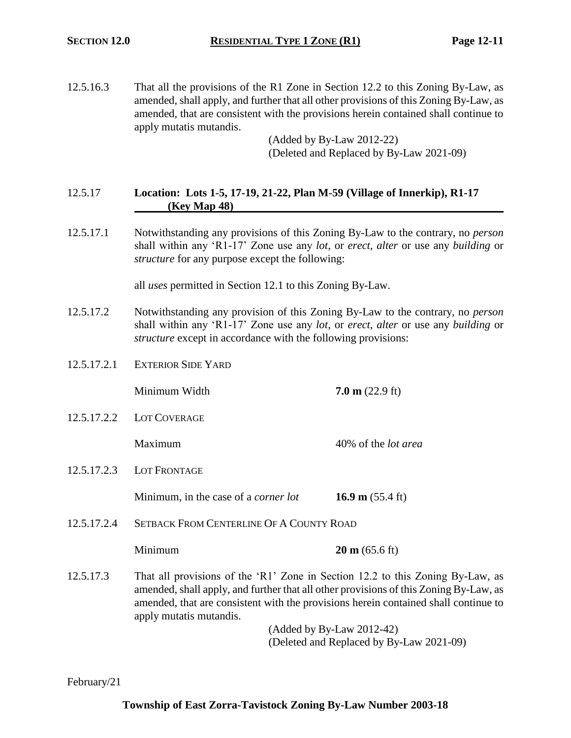12.5.16.3 That all the provisions of the R1 Zone in Section 12.2 to this Zoning By-Law, as amended, shall apply, and further that all other provisions of this Zoning By-Law, as amended, that are consistent with the provisions herein contained shall continue to apply mutatis mutandis.

(Added by By-Law 2012-22) (Deleted and Replaced by By-Law 2021-09)

## 12.5.17 **Location: Lots 1-5, 17-19, 21-22, Plan M-59 (Village of Innerkip), R1-17 (Key Map 48)**

12.5.17.1 Notwithstanding any provisions of this Zoning By-Law to the contrary, no *person*  shall within any 'R1-17' Zone use any *lot*, or *erect*, *alter* or use any *building* or *structure* for any purpose except the following:

all *uses* permitted in Section 12.1 to this Zoning By-Law.

- 12.5.17.2 Notwithstanding any provision of this Zoning By-Law to the contrary, no *person*  shall within any 'R1-17' Zone use any *lot*, or *erect*, *alter* or use any *building* or *structure* except in accordance with the following provisions:
- 12.5.17.2.1 EXTERIOR SIDE YARD

Minimum Width **7.0 m** (22.9 ft)

12.5.17.2.2 LOT COVERAGE

Maximum 40% of the *lot area*

12.5.17.2.3 LOT FRONTAGE

Minimum, in the case of a *corner lot* **16.9 m** (55.4 ft)

12.5.17.2.4 SETBACK FROM CENTERLINE OF A COUNTY ROAD

**Minimum 20 m** (65.6 ft)

12.5.17.3 That all provisions of the 'R1' Zone in Section 12.2 to this Zoning By-Law, as amended, shall apply, and further that all other provisions of this Zoning By-Law, as amended, that are consistent with the provisions herein contained shall continue to apply mutatis mutandis.

> (Added by By-Law 2012-42) (Deleted and Replaced by By-Law 2021-09)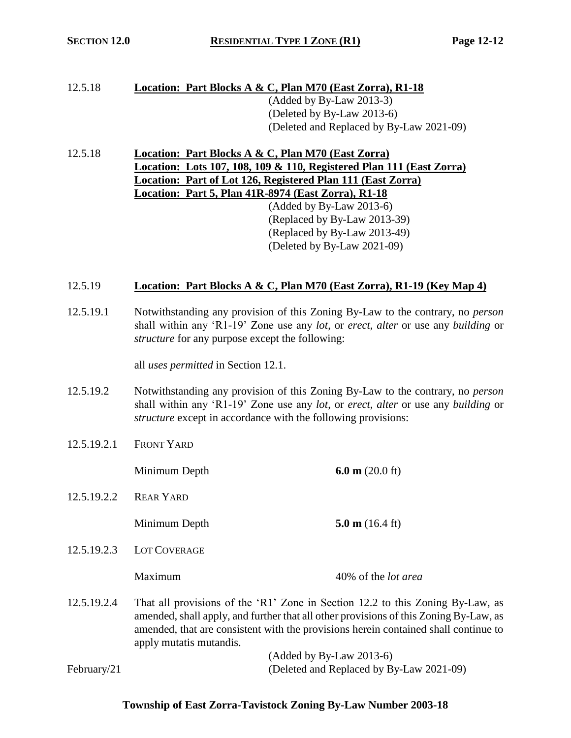# 12.5.18 **Location: Part Blocks A & C, Plan M70 (East Zorra), R1-18** (Added by By-Law 2013-3) (Deleted by By-Law 2013-6) (Deleted and Replaced by By-Law 2021-09)

12.5.18 **Location: Part Blocks A & C, Plan M70 (East Zorra) Location: Lots 107, 108, 109 & 110, Registered Plan 111 (East Zorra) Location: Part of Lot 126, Registered Plan 111 (East Zorra) Location: Part 5, Plan 41R-8974 (East Zorra), R1-18** (Added by By-Law 2013-6) (Replaced by By-Law 2013-39) (Replaced by By-Law 2013-49) (Deleted by By-Law 2021-09)

## 12.5.19 **Location: Part Blocks A & C, Plan M70 (East Zorra), R1-19 (Key Map 4)**

12.5.19.1 Notwithstanding any provision of this Zoning By-Law to the contrary, no *person* shall within any 'R1-19' Zone use any *lot*, or *erect*, *alter* or use any *building* or *structure* for any purpose except the following:

all *uses permitted* in Section 12.1.

- 12.5.19.2 Notwithstanding any provision of this Zoning By-Law to the contrary, no *person* shall within any 'R1-19' Zone use any *lot*, or *erect*, *alter* or use any *building* or *structure* except in accordance with the following provisions:
- 12.5.19.2.1 FRONT YARD

Minimum Depth **6.0 m** (20.0 ft)

12.5.19.2.2 REAR YARD

Minimum Depth **5.0 m** (16.4 ft)

12.5.19.2.3 LOT COVERAGE

Maximum 40% of the *lot area*

12.5.19.2.4 That all provisions of the 'R1' Zone in Section 12.2 to this Zoning By-Law, as amended, shall apply, and further that all other provisions of this Zoning By-Law, as amended, that are consistent with the provisions herein contained shall continue to apply mutatis mutandis.

(Added by By-Law 2013-6) February/21 (Deleted and Replaced by By-Law 2021-09)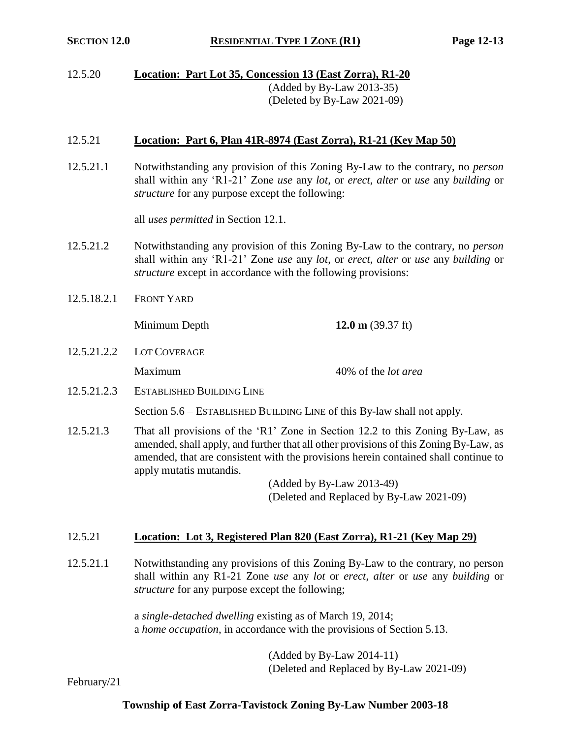12.5.20 **Location: Part Lot 35, Concession 13 (East Zorra), R1-20** (Added by By-Law 2013-35) (Deleted by By-Law 2021-09)

## 12.5.21 **Location: Part 6, Plan 41R-8974 (East Zorra), R1-21 (Key Map 50)**

12.5.21.1 Notwithstanding any provision of this Zoning By-Law to the contrary, no *person* shall within any 'R1-21' Zone *use* any *lot*, or *erect*, *alter* or *use* any *building* or *structure* for any purpose except the following:

all *uses permitted* in Section 12.1.

- 12.5.21.2 Notwithstanding any provision of this Zoning By-Law to the contrary, no *person* shall within any 'R1-21' Zone *use* any *lot*, or *erect*, *alter* or *use* any *building* or *structure* except in accordance with the following provisions:
- 12.5.18.2.1 FRONT YARD

Minimum Depth **12.0 m** (39.37 ft)

- 12.5.21.2.2 LOT COVERAGE Maximum 40% of the *lot area*
- 12.5.21.2.3 ESTABLISHED BUILDING LINE

Section 5.6 – ESTABLISHED BUILDING LINE of this By-law shall not apply.

12.5.21.3 That all provisions of the 'R1' Zone in Section 12.2 to this Zoning By-Law, as amended, shall apply, and further that all other provisions of this Zoning By-Law, as amended, that are consistent with the provisions herein contained shall continue to apply mutatis mutandis.

> (Added by By-Law 2013-49) (Deleted and Replaced by By-Law 2021-09)

#### 12.5.21 **Location: Lot 3, Registered Plan 820 (East Zorra), R1-21 (Key Map 29)**

12.5.21.1 Notwithstanding any provisions of this Zoning By-Law to the contrary, no person shall within any R1-21 Zone *use* any *lot* or *erect*, *alter* or *use* any *building* or *structure* for any purpose except the following;

> a *single-detached dwelling* existing as of March 19, 2014; a *home occupation*, in accordance with the provisions of Section 5.13.

> > (Added by By-Law 2014-11) (Deleted and Replaced by By-Law 2021-09)

February/21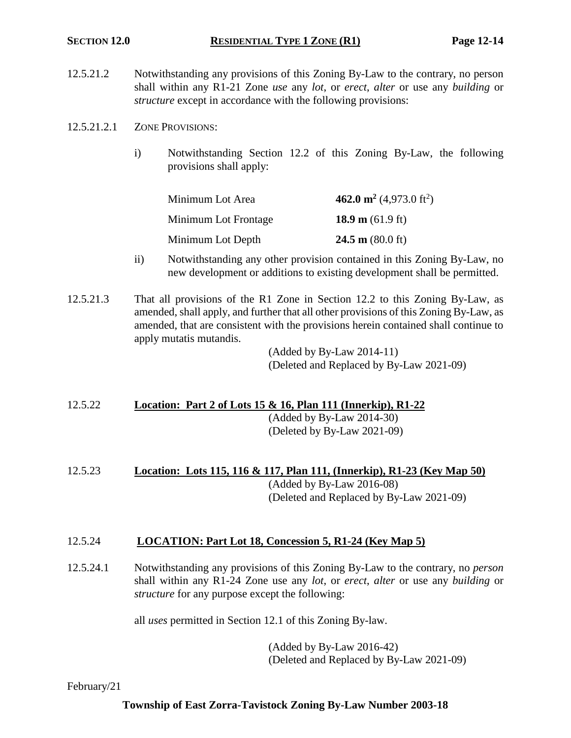- 12.5.21.2 Notwithstanding any provisions of this Zoning By-Law to the contrary, no person shall within any R1-21 Zone *use* any *lot*, or *erect*, *alter* or use any *building* or *structure* except in accordance with the following provisions:
- 12.5.21.2.1 ZONE PROVISIONS:
	- i) Notwithstanding Section 12.2 of this Zoning By-Law, the following provisions shall apply:

| Minimum Lot Area     | 462.0 m <sup>2</sup> (4,973.0 ft <sup>2</sup> ) |
|----------------------|-------------------------------------------------|
| Minimum Lot Frontage | 18.9 m $(61.9 \text{ ft})$                      |
| Minimum Lot Depth    | 24.5 m $(80.0 \text{ ft})$                      |

- ii) Notwithstanding any other provision contained in this Zoning By-Law, no new development or additions to existing development shall be permitted.
- 12.5.21.3 That all provisions of the R1 Zone in Section 12.2 to this Zoning By-Law, as amended, shall apply, and further that all other provisions of this Zoning By-Law, as amended, that are consistent with the provisions herein contained shall continue to apply mutatis mutandis.

(Added by By-Law 2014-11) (Deleted and Replaced by By-Law 2021-09)

# 12.5.22 **Location: Part 2 of Lots 15 & 16, Plan 111 (Innerkip), R1-22**

(Added by By-Law 2014-30) (Deleted by By-Law 2021-09)

12.5.23 **Location: Lots 115, 116 & 117, Plan 111, (Innerkip), R1-23 (Key Map 50)** (Added by By-Law 2016-08)

(Deleted and Replaced by By-Law 2021-09)

## 12.5.24 **LOCATION: Part Lot 18, Concession 5, R1-24 (Key Map 5)**

12.5.24.1 Notwithstanding any provisions of this Zoning By-Law to the contrary, no *person* shall within any R1-24 Zone use any *lot*, or *erect*, *alter* or use any *building* or *structure* for any purpose except the following:

all *uses* permitted in Section 12.1 of this Zoning By-law.

(Added by By-Law 2016-42) (Deleted and Replaced by By-Law 2021-09)

February/21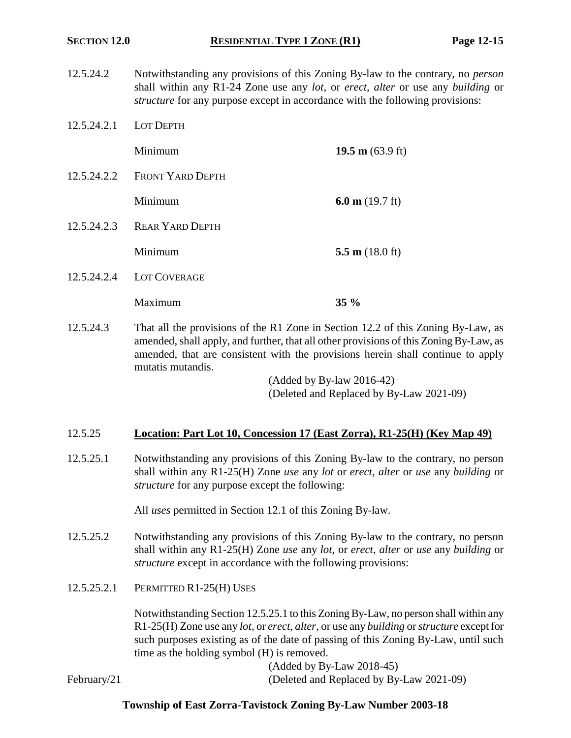- 12.5.24.2 Notwithstanding any provisions of this Zoning By-law to the contrary, no *person* shall within any R1-24 Zone use any *lot*, or *erect, alter* or use any *building* or *structure* for any purpose except in accordance with the following provisions:
- 12.5.24.2.1 LOT DEPTH

**Minimum 19.5 m** (63.9 ft)

- 12.5.24.2.2 FRONT YARD DEPTH Minimum **6.0 m** (19.7 ft)
- 12.5.24.2.3 REAR YARD DEPTH

Minimum **5.5 m** (18.0 ft)

12.5.24.2.4 LOT COVERAGE

Maximum **35 %**

12.5.24.3 That all the provisions of the R1 Zone in Section 12.2 of this Zoning By-Law, as amended, shall apply, and further, that all other provisions of this Zoning By-Law, as amended, that are consistent with the provisions herein shall continue to apply mutatis mutandis.

> (Added by By-law 2016-42) (Deleted and Replaced by By-Law 2021-09)

#### 12.5.25 **Location: Part Lot 10, Concession 17 (East Zorra), R1-25(H) (Key Map 49)**

12.5.25.1 Notwithstanding any provisions of this Zoning By-law to the contrary, no person shall within any R1-25(H) Zone *use* any *lot* or *erect*, *alter* or *use* any *building* or *structure* for any purpose except the following:

All *uses* permitted in Section 12.1 of this Zoning By-law.

- 12.5.25.2 Notwithstanding any provisions of this Zoning By-law to the contrary, no person shall within any R1-25(H) Zone *use* any *lot*, or *erect*, *alter* or *use* any *building* or *structure* except in accordance with the following provisions:
- 12.5.25.2.1 PERMITTED R1-25(H) USES

Notwithstanding Section 12.5.25.1 to this Zoning By-Law, no person shall within any R1-25(H) Zone use any *lot*, or *erect*, *alter*, or use any *building* or *structure* except for such purposes existing as of the date of passing of this Zoning By-Law, until such time as the holding symbol (H) is removed.

(Added by By-Law 2018-45)

February/21 (Deleted and Replaced by By-Law 2021-09)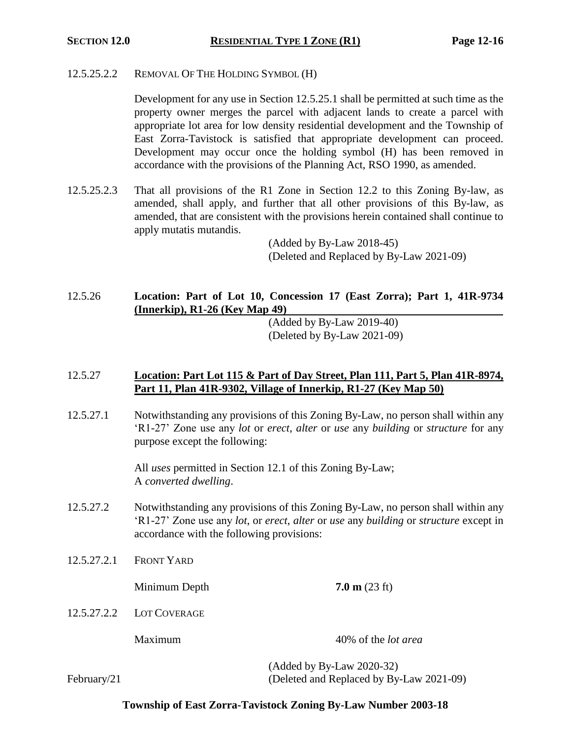12.5.25.2.2 REMOVAL OF THE HOLDING SYMBOL (H)

Development for any use in Section 12.5.25.1 shall be permitted at such time as the property owner merges the parcel with adjacent lands to create a parcel with appropriate lot area for low density residential development and the Township of East Zorra-Tavistock is satisfied that appropriate development can proceed. Development may occur once the holding symbol (H) has been removed in accordance with the provisions of the Planning Act, RSO 1990, as amended.

12.5.25.2.3 That all provisions of the R1 Zone in Section 12.2 to this Zoning By-law, as amended, shall apply, and further that all other provisions of this By-law, as amended, that are consistent with the provisions herein contained shall continue to apply mutatis mutandis.

> (Added by By-Law 2018-45) (Deleted and Replaced by By-Law 2021-09)

# 12.5.26 **Location: Part of Lot 10, Concession 17 (East Zorra); Part 1, 41R-9734 (Innerkip), R1-26 (Key Map 49)**

(Added by By-Law 2019-40) (Deleted by By-Law 2021-09)

## 12.5.27 **Location: Part Lot 115 & Part of Day Street, Plan 111, Part 5, Plan 41R-8974, Part 11, Plan 41R-9302, Village of Innerkip, R1-27 (Key Map 50)**

12.5.27.1 Notwithstanding any provisions of this Zoning By-Law, no person shall within any 'R1-27' Zone use any *lot* or *erect*, *alter* or *use* any *building* or *structure* for any purpose except the following:

> All *uses* permitted in Section 12.1 of this Zoning By-Law; A *converted dwelling*.

- 12.5.27.2 Notwithstanding any provisions of this Zoning By-Law, no person shall within any 'R1-27' Zone use any *lot*, or *erect*, *alter* or *use* any *building* or *structure* except in accordance with the following provisions:
- 12.5.27.2.1 FRONT YARD

Minimum Depth **7.0 m** (23 ft)

12.5.27.2.2 LOT COVERAGE

Maximum 40% of the *lot area*

(Added by By-Law 2020-32) February/21 (Deleted and Replaced by By-Law 2021-09)